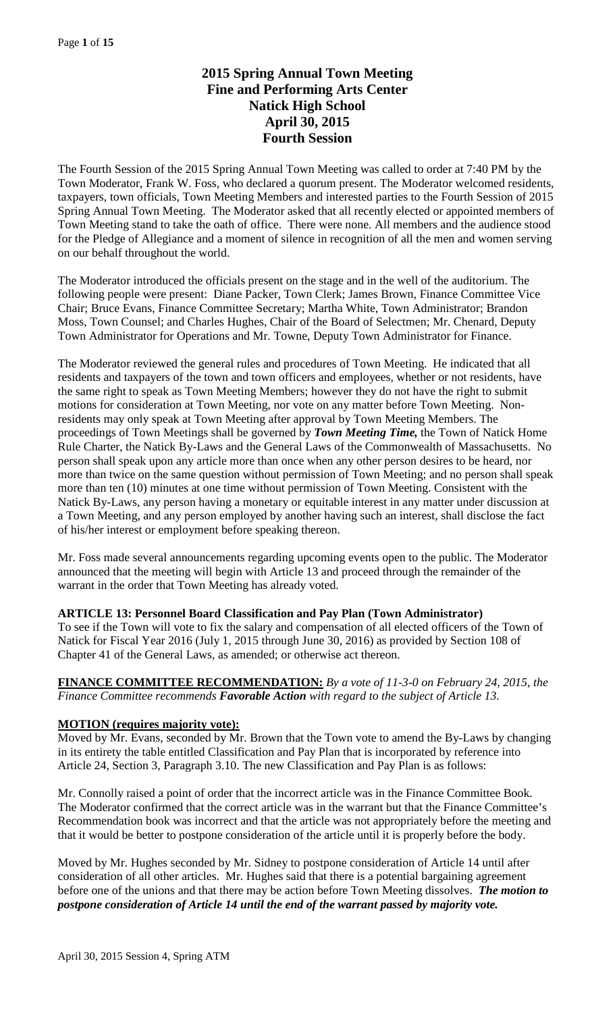# **2015 Spring Annual Town Meeting Fine and Performing Arts Center Natick High School April 30, 2015 Fourth Session**

The Fourth Session of the 2015 Spring Annual Town Meeting was called to order at 7:40 PM by the Town Moderator, Frank W. Foss, who declared a quorum present. The Moderator welcomed residents, taxpayers, town officials, Town Meeting Members and interested parties to the Fourth Session of 2015 Spring Annual Town Meeting. The Moderator asked that all recently elected or appointed members of Town Meeting stand to take the oath of office. There were none. All members and the audience stood for the Pledge of Allegiance and a moment of silence in recognition of all the men and women serving on our behalf throughout the world.

The Moderator introduced the officials present on the stage and in the well of the auditorium. The following people were present: Diane Packer, Town Clerk; James Brown, Finance Committee Vice Chair; Bruce Evans, Finance Committee Secretary; Martha White, Town Administrator; Brandon Moss, Town Counsel; and Charles Hughes, Chair of the Board of Selectmen; Mr. Chenard, Deputy Town Administrator for Operations and Mr. Towne, Deputy Town Administrator for Finance.

The Moderator reviewed the general rules and procedures of Town Meeting. He indicated that all residents and taxpayers of the town and town officers and employees, whether or not residents, have the same right to speak as Town Meeting Members; however they do not have the right to submit motions for consideration at Town Meeting, nor vote on any matter before Town Meeting. Nonresidents may only speak at Town Meeting after approval by Town Meeting Members. The proceedings of Town Meetings shall be governed by *Town Meeting Time,* the Town of Natick Home Rule Charter, the Natick By-Laws and the General Laws of the Commonwealth of Massachusetts. No person shall speak upon any article more than once when any other person desires to be heard, nor more than twice on the same question without permission of Town Meeting; and no person shall speak more than ten (10) minutes at one time without permission of Town Meeting. Consistent with the Natick By-Laws, any person having a monetary or equitable interest in any matter under discussion at a Town Meeting, and any person employed by another having such an interest, shall disclose the fact of his/her interest or employment before speaking thereon.

Mr. Foss made several announcements regarding upcoming events open to the public. The Moderator announced that the meeting will begin with Article 13 and proceed through the remainder of the warrant in the order that Town Meeting has already voted.

### **ARTICLE 13: Personnel Board Classification and Pay Plan (Town Administrator)**

To see if the Town will vote to fix the salary and compensation of all elected officers of the Town of Natick for Fiscal Year 2016 (July 1, 2015 through June 30, 2016) as provided by Section 108 of Chapter 41 of the General Laws, as amended; or otherwise act thereon.

### **FINANCE COMMITTEE RECOMMENDATION:** *By a vote of 11-3-0 on February 24, 2015, the Finance Committee recommends Favorable Action with regard to the subject of Article 13.*

### **MOTION (requires majority vote):**

Moved by Mr. Evans, seconded by Mr. Brown that the Town vote to amend the By-Laws by changing in its entirety the table entitled Classification and Pay Plan that is incorporated by reference into Article 24, Section 3, Paragraph 3.10. The new Classification and Pay Plan is as follows:

Mr. Connolly raised a point of order that the incorrect article was in the Finance Committee Book. The Moderator confirmed that the correct article was in the warrant but that the Finance Committee's Recommendation book was incorrect and that the article was not appropriately before the meeting and that it would be better to postpone consideration of the article until it is properly before the body.

Moved by Mr. Hughes seconded by Mr. Sidney to postpone consideration of Article 14 until after consideration of all other articles. Mr. Hughes said that there is a potential bargaining agreement before one of the unions and that there may be action before Town Meeting dissolves. *The motion to postpone consideration of Article 14 until the end of the warrant passed by majority vote.*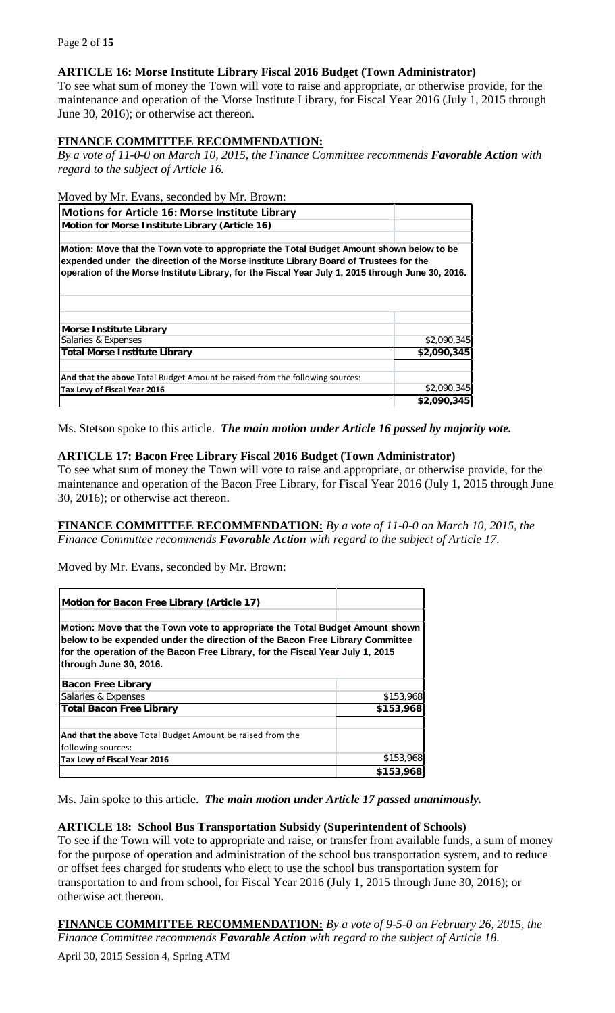# **ARTICLE 16: Morse Institute Library Fiscal 2016 Budget (Town Administrator)**

To see what sum of money the Town will vote to raise and appropriate, or otherwise provide, for the maintenance and operation of the Morse Institute Library, for Fiscal Year 2016 (July 1, 2015 through June 30, 2016); or otherwise act thereon.

# **FINANCE COMMITTEE RECOMMENDATION:**

*By a vote of 11-0-0 on March 10, 2015, the Finance Committee recommends Favorable Action with regard to the subject of Article 16.*

### Moved by Mr. Evans, seconded by Mr. Brown:

| <b>Motions for Article 16: Morse Institute Library</b>                                                                                                                                                                                                                                 |             |
|----------------------------------------------------------------------------------------------------------------------------------------------------------------------------------------------------------------------------------------------------------------------------------------|-------------|
| Motion for Morse Institute Library (Article 16)                                                                                                                                                                                                                                        |             |
| Motion: Move that the Town vote to appropriate the Total Budget Amount shown below to be<br>expended under the direction of the Morse Institute Library Board of Trustees for the<br>operation of the Morse Institute Library, for the Fiscal Year July 1, 2015 through June 30, 2016. |             |
| <b>Morse Institute Library</b>                                                                                                                                                                                                                                                         |             |
| Salaries & Expenses                                                                                                                                                                                                                                                                    | \$2,090,345 |
| <b>Total Morse Institute Library</b>                                                                                                                                                                                                                                                   | \$2,090,345 |
| And that the above Total Budget Amount be raised from the following sources:                                                                                                                                                                                                           |             |
| Tax Levy of Fiscal Year 2016                                                                                                                                                                                                                                                           | \$2,090,345 |
|                                                                                                                                                                                                                                                                                        | \$2,090,345 |

Ms. Stetson spoke to this article. *The main motion under Article 16 passed by majority vote.*

### **ARTICLE 17: Bacon Free Library Fiscal 2016 Budget (Town Administrator)**

To see what sum of money the Town will vote to raise and appropriate, or otherwise provide, for the maintenance and operation of the Bacon Free Library, for Fiscal Year 2016 (July 1, 2015 through June 30, 2016); or otherwise act thereon.

### **FINANCE COMMITTEE RECOMMENDATION:** *By a vote of 11-0-0 on March 10, 2015, the Finance Committee recommends Favorable Action with regard to the subject of Article 17.*

Moved by Mr. Evans, seconded by Mr. Brown:

| Motion for Bacon Free Library (Article 17)                                                                                                                                                                                                                              |           |
|-------------------------------------------------------------------------------------------------------------------------------------------------------------------------------------------------------------------------------------------------------------------------|-----------|
| Motion: Move that the Town vote to appropriate the Total Budget Amount shown<br>below to be expended under the direction of the Bacon Free Library Committee<br>for the operation of the Bacon Free Library, for the Fiscal Year July 1, 2015<br>through June 30, 2016. |           |
| <b>Bacon Free Library</b>                                                                                                                                                                                                                                               |           |
| Salaries & Expenses                                                                                                                                                                                                                                                     | \$153,968 |
| <b>Total Bacon Free Library</b>                                                                                                                                                                                                                                         | \$153,968 |
| And that the above Total Budget Amount be raised from the<br>following sources:                                                                                                                                                                                         |           |
| Tax Levy of Fiscal Year 2016                                                                                                                                                                                                                                            | \$153,968 |
|                                                                                                                                                                                                                                                                         | \$153,968 |

Ms. Jain spoke to this article. *The main motion under Article 17 passed unanimously.*

### **ARTICLE 18: School Bus Transportation Subsidy (Superintendent of Schools)**

To see if the Town will vote to appropriate and raise, or transfer from available funds, a sum of money for the purpose of operation and administration of the school bus transportation system, and to reduce or offset fees charged for students who elect to use the school bus transportation system for transportation to and from school, for Fiscal Year 2016 (July 1, 2015 through June 30, 2016); or otherwise act thereon.

**FINANCE COMMITTEE RECOMMENDATION:** *By a vote of 9-5-0 on February 26, 2015, the Finance Committee recommends Favorable Action with regard to the subject of Article 18.*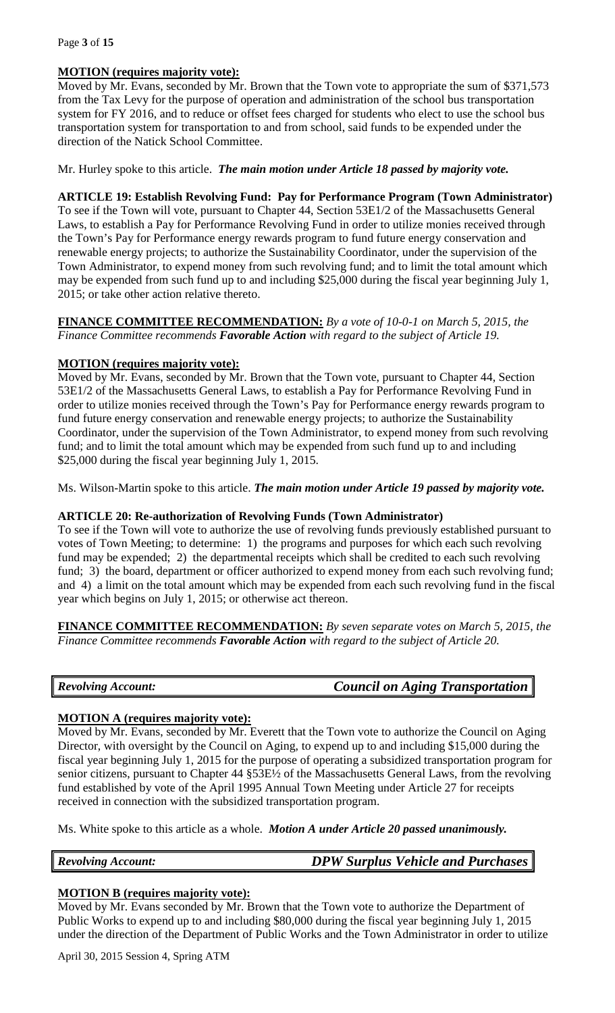### Page **3** of **15**

# **MOTION (requires majority vote):**

Moved by Mr. Evans, seconded by Mr. Brown that the Town vote to appropriate the sum of \$371,573 from the Tax Levy for the purpose of operation and administration of the school bus transportation system for FY 2016, and to reduce or offset fees charged for students who elect to use the school bus transportation system for transportation to and from school, said funds to be expended under the direction of the Natick School Committee.

Mr. Hurley spoke to this article. *The main motion under Article 18 passed by majority vote.*

### **ARTICLE 19: Establish Revolving Fund: Pay for Performance Program (Town Administrator)**

To see if the Town will vote, pursuant to Chapter 44, Section 53E1/2 of the Massachusetts General Laws, to establish a Pay for Performance Revolving Fund in order to utilize monies received through the Town's Pay for Performance energy rewards program to fund future energy conservation and renewable energy projects; to authorize the Sustainability Coordinator, under the supervision of the Town Administrator, to expend money from such revolving fund; and to limit the total amount which may be expended from such fund up to and including \$25,000 during the fiscal year beginning July 1, 2015; or take other action relative thereto.

### **FINANCE COMMITTEE RECOMMENDATION:** *By a vote of 10-0-1 on March 5, 2015, the Finance Committee recommends Favorable Action with regard to the subject of Article 19.*

# **MOTION (requires majority vote):**

Moved by Mr. Evans, seconded by Mr. Brown that the Town vote, pursuant to Chapter 44, Section 53E1/2 of the Massachusetts General Laws, to establish a Pay for Performance Revolving Fund in order to utilize monies received through the Town's Pay for Performance energy rewards program to fund future energy conservation and renewable energy projects; to authorize the Sustainability Coordinator, under the supervision of the Town Administrator, to expend money from such revolving fund; and to limit the total amount which may be expended from such fund up to and including \$25,000 during the fiscal year beginning July 1, 2015.

Ms. Wilson-Martin spoke to this article. *The main motion under Article 19 passed by majority vote.*

# **ARTICLE 20: Re-authorization of Revolving Funds (Town Administrator)**

To see if the Town will vote to authorize the use of revolving funds previously established pursuant to votes of Town Meeting; to determine: 1) the programs and purposes for which each such revolving fund may be expended; 2) the departmental receipts which shall be credited to each such revolving fund; 3) the board, department or officer authorized to expend money from each such revolving fund; and 4) a limit on the total amount which may be expended from each such revolving fund in the fiscal year which begins on July 1, 2015; or otherwise act thereon.

**FINANCE COMMITTEE RECOMMENDATION:** *By seven separate votes on March 5, 2015, the Finance Committee recommends Favorable Action with regard to the subject of Article 20.*

|  | <b>Revolving Account:</b> | <b>Council on Aging Transportation</b> |
|--|---------------------------|----------------------------------------|
|--|---------------------------|----------------------------------------|

# **MOTION A (requires majority vote):**

Moved by Mr. Evans, seconded by Mr. Everett that the Town vote to authorize the Council on Aging Director, with oversight by the Council on Aging, to expend up to and including \$15,000 during the fiscal year beginning July 1, 2015 for the purpose of operating a subsidized transportation program for senior citizens, pursuant to Chapter 44 §53E½ of the Massachusetts General Laws, from the revolving fund established by vote of the April 1995 Annual Town Meeting under Article 27 for receipts received in connection with the subsidized transportation program.

Ms. White spoke to this article as a whole. *Motion A under Article 20 passed unanimously.*

*Revolving Account: DPW Surplus Vehicle and Purchases*

# **MOTION B (requires majority vote):**

Moved by Mr. Evans seconded by Mr. Brown that the Town vote to authorize the Department of Public Works to expend up to and including \$80,000 during the fiscal year beginning July 1, 2015 under the direction of the Department of Public Works and the Town Administrator in order to utilize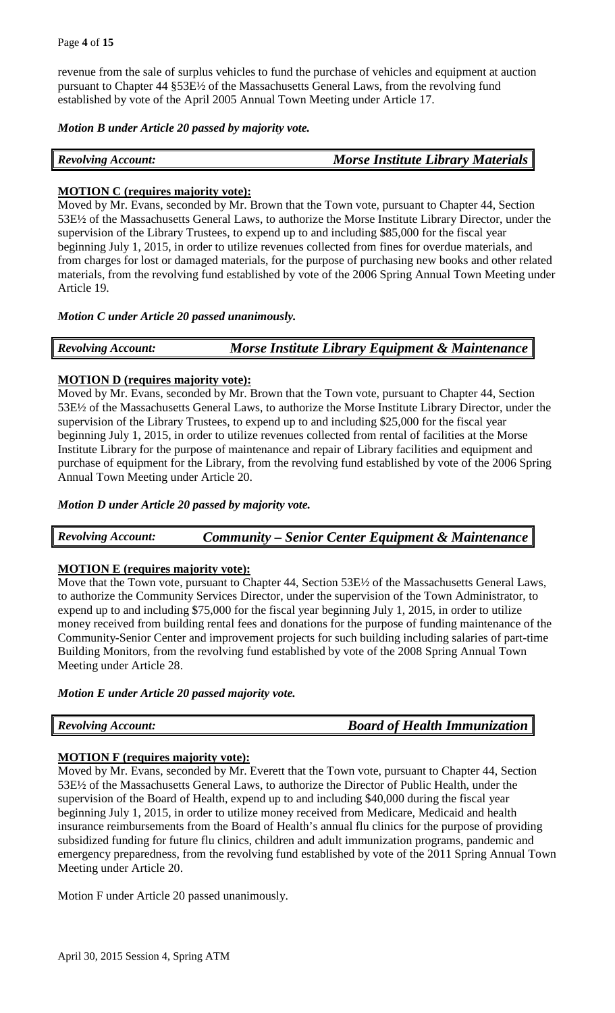revenue from the sale of surplus vehicles to fund the purchase of vehicles and equipment at auction pursuant to Chapter 44 §53E½ of the Massachusetts General Laws, from the revolving fund established by vote of the April 2005 Annual Town Meeting under Article 17.

*Motion B under Article 20 passed by majority vote.*

| <b>Revolving Account:</b> | <b>Morse Institute Library Materials</b> |
|---------------------------|------------------------------------------|
|---------------------------|------------------------------------------|

# **MOTION C (requires majority vote):**

Moved by Mr. Evans, seconded by Mr. Brown that the Town vote, pursuant to Chapter 44, Section 53E½ of the Massachusetts General Laws, to authorize the Morse Institute Library Director, under the supervision of the Library Trustees, to expend up to and including \$85,000 for the fiscal year beginning July 1, 2015, in order to utilize revenues collected from fines for overdue materials, and from charges for lost or damaged materials, for the purpose of purchasing new books and other related materials, from the revolving fund established by vote of the 2006 Spring Annual Town Meeting under Article 19.

# *Motion C under Article 20 passed unanimously.*

| <b>Revolving Account:</b> | Morse Institute Library Equipment & Maintenance |
|---------------------------|-------------------------------------------------|
|---------------------------|-------------------------------------------------|

# **MOTION D (requires majority vote):**

Moved by Mr. Evans, seconded by Mr. Brown that the Town vote, pursuant to Chapter 44, Section 53E½ of the Massachusetts General Laws, to authorize the Morse Institute Library Director, under the supervision of the Library Trustees, to expend up to and including \$25,000 for the fiscal year beginning July 1, 2015, in order to utilize revenues collected from rental of facilities at the Morse Institute Library for the purpose of maintenance and repair of Library facilities and equipment and purchase of equipment for the Library, from the revolving fund established by vote of the 2006 Spring Annual Town Meeting under Article 20.

# *Motion D under Article 20 passed by majority vote.*

*Revolving Account: Community – Senior Center Equipment & Maintenance*

# **MOTION E (requires majority vote):**

Move that the Town vote, pursuant to Chapter 44, Section 53E½ of the Massachusetts General Laws, to authorize the Community Services Director, under the supervision of the Town Administrator, to expend up to and including \$75,000 for the fiscal year beginning July 1, 2015, in order to utilize money received from building rental fees and donations for the purpose of funding maintenance of the Community-Senior Center and improvement projects for such building including salaries of part-time Building Monitors, from the revolving fund established by vote of the 2008 Spring Annual Town Meeting under Article 28.

# *Motion E under Article 20 passed majority vote.*

*Revolving Account: Board of Health Immunization*

# **MOTION F (requires majority vote):**

Moved by Mr. Evans, seconded by Mr. Everett that the Town vote, pursuant to Chapter 44, Section 53E½ of the Massachusetts General Laws, to authorize the Director of Public Health, under the supervision of the Board of Health, expend up to and including \$40,000 during the fiscal year beginning July 1, 2015, in order to utilize money received from Medicare, Medicaid and health insurance reimbursements from the Board of Health's annual flu clinics for the purpose of providing subsidized funding for future flu clinics, children and adult immunization programs, pandemic and emergency preparedness, from the revolving fund established by vote of the 2011 Spring Annual Town Meeting under Article 20.

Motion F under Article 20 passed unanimously.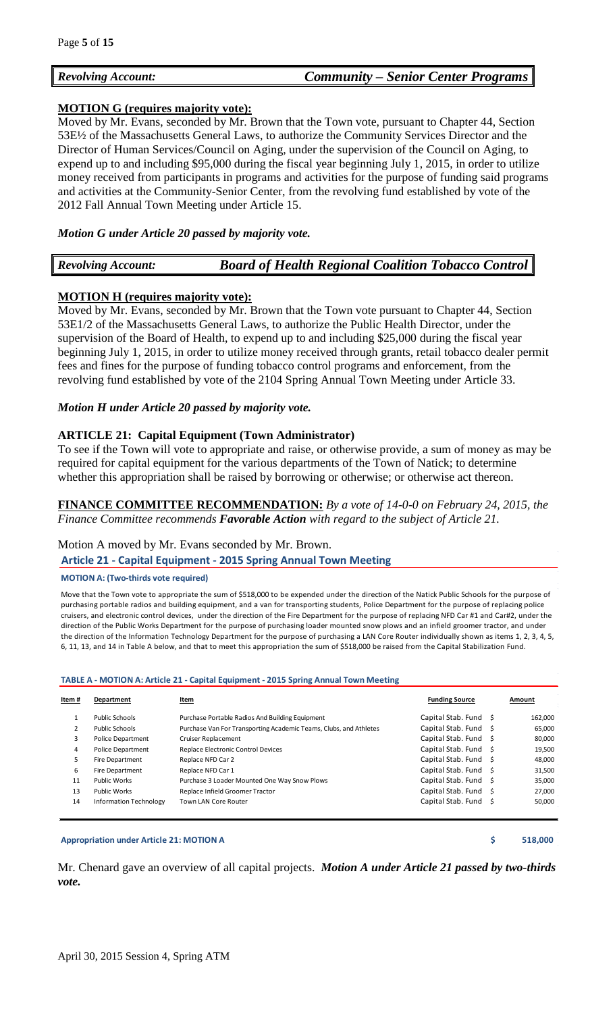# *Revolving Account: Community – Senior Center Programs*

### **MOTION G (requires majority vote):**

Moved by Mr. Evans, seconded by Mr. Brown that the Town vote, pursuant to Chapter 44, Section 53E½ of the Massachusetts General Laws, to authorize the Community Services Director and the Director of Human Services/Council on Aging, under the supervision of the Council on Aging, to expend up to and including \$95,000 during the fiscal year beginning July 1, 2015, in order to utilize money received from participants in programs and activities for the purpose of funding said programs and activities at the Community-Senior Center, from the revolving fund established by vote of the 2012 Fall Annual Town Meeting under Article 15.

### *Motion G under Article 20 passed by majority vote.*

|--|

# **MOTION H (requires majority vote):**

Moved by Mr. Evans, seconded by Mr. Brown that the Town vote pursuant to Chapter 44, Section 53E1/2 of the Massachusetts General Laws, to authorize the Public Health Director, under the supervision of the Board of Health, to expend up to and including \$25,000 during the fiscal year beginning July 1, 2015, in order to utilize money received through grants, retail tobacco dealer permit fees and fines for the purpose of funding tobacco control programs and enforcement, from the revolving fund established by vote of the 2104 Spring Annual Town Meeting under Article 33.

### *Motion H under Article 20 passed by majority vote.*

### **ARTICLE 21: Capital Equipment (Town Administrator)**

To see if the Town will vote to appropriate and raise, or otherwise provide, a sum of money as may be required for capital equipment for the various departments of the Town of Natick; to determine whether this appropriation shall be raised by borrowing or otherwise; or otherwise act thereon.

**FINANCE COMMITTEE RECOMMENDATION:** *By a vote of 14-0-0 on February 24, 2015, the Finance Committee recommends Favorable Action with regard to the subject of Article 21.*

### Motion A moved by Mr. Evans seconded by Mr. Brown.

### **Article 21 - Capital Equipment - 2015 Spring Annual Town Meeting**

### **MOTION A: (Two-thirds vote required)**

Move that the Town vote to appropriate the sum of \$518,000 to be expended under the direction of the Natick Public Schools for the purpose of purchasing portable radios and building equipment, and a van for transporting students, Police Department for the purpose of replacing police cruisers, and electronic control devices, under the direction of the Fire Department for the purpose of replacing NFD Car #1 and Car#2, under the direction of the Public Works Department for the purpose of purchasing loader mounted snow plows and an infield groomer tractor, and under the direction of the Information Technology Department for the purpose of purchasing a LAN Core Router individually shown as items 1, 2, 3, 4, 5, 6, 11, 13, and 14 in Table A below, and that to meet this appropriation the sum of \$518,000 be raised from the Capital Stabilization Fund.

### **TABLE A - MOTION A: Article 21 - Capital Equipment - 2015 Spring Annual Town Meeting**

| Item #         | Department                    | Item                                                              | <b>Funding Source</b> | Amount  |
|----------------|-------------------------------|-------------------------------------------------------------------|-----------------------|---------|
|                | <b>Public Schools</b>         | Purchase Portable Radios And Building Equipment                   | Capital Stab. Fund \$ | 162,000 |
| $\overline{2}$ | <b>Public Schools</b>         | Purchase Van For Transporting Academic Teams, Clubs, and Athletes | Capital Stab. Fund \$ | 65,000  |
| 3              | <b>Police Department</b>      | <b>Cruiser Replacement</b>                                        | Capital Stab. Fund \$ | 80,000  |
| 4              | <b>Police Department</b>      | <b>Replace Electronic Control Devices</b>                         | Capital Stab. Fund \$ | 19,500  |
| 5              | <b>Fire Department</b>        | Replace NFD Car 2                                                 | Capital Stab. Fund \$ | 48,000  |
| 6              | Fire Department               | Replace NFD Car 1                                                 | Capital Stab. Fund \$ | 31,500  |
| 11             | Public Works                  | Purchase 3 Loader Mounted One Way Snow Plows                      | Capital Stab. Fund \$ | 35,000  |
| 13             | Public Works                  | Replace Infield Groomer Tractor                                   | Capital Stab. Fund \$ | 27,000  |
| 14             | <b>Information Technology</b> | Town LAN Core Router                                              | Capital Stab. Fund \$ | 50,000  |

### **Appropriation under Article 21: MOTION A \$ 518,000**

Mr. Chenard gave an overview of all capital projects. *Motion A under Article 21 passed by two-thirds vote.*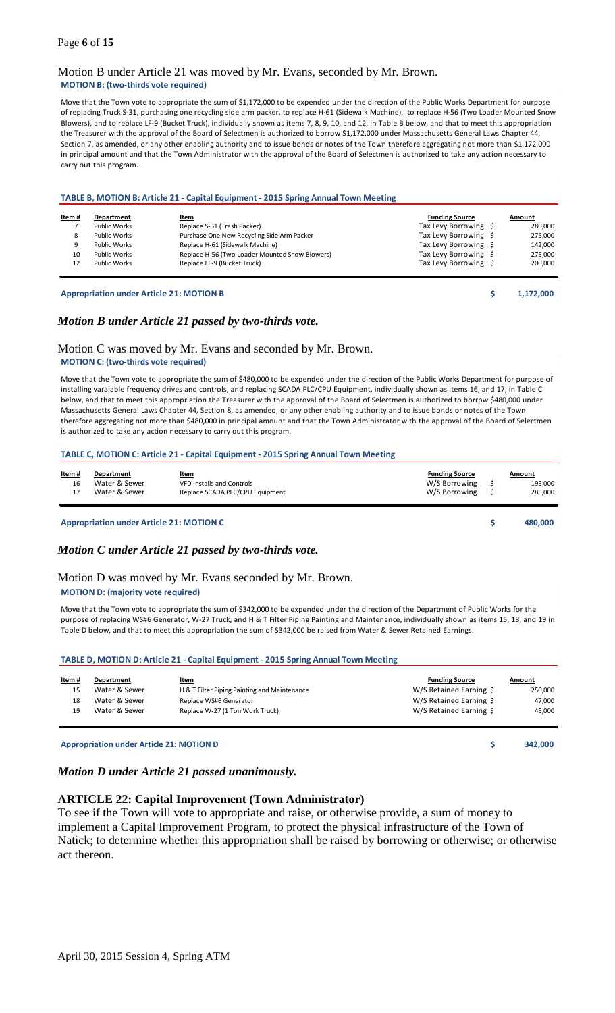### Page **6** of **15**

### Motion B under Article 21 was moved by Mr. Evans, seconded by Mr. Brown. **MOTION B: (two-thirds vote required)**

Move that the Town vote to appropriate the sum of \$1,172,000 to be expended under the direction of the Public Works Department for purpose of replacing Truck S-31, purchasing one recycling side arm packer, to replace H-61 (Sidewalk Machine), to replace H-56 (Two Loader Mounted Snow Blowers), and to replace LF-9 (Bucket Truck), individually shown as items 7, 8, 9, 10, and 12, in Table B below, and that to meet this appropriation the Treasurer with the approval of the Board of Selectmen is authorized to borrow \$1,172,000 under Massachusetts General Laws Chapter 44, Section 7, as amended, or any other enabling authority and to issue bonds or notes of the Town therefore aggregating not more than \$1,172,000 in principal amount and that the Town Administrator with the approval of the Board of Selectmen is authorized to take any action necessary to carry out this program.

| Item # | Department   | Item                                           | <b>Funding Source</b> | Amount  |
|--------|--------------|------------------------------------------------|-----------------------|---------|
|        | Public Works | Replace S-31 (Trash Packer)                    | Tax Levy Borrowing \$ | 280,000 |
| 8      | Public Works | Purchase One New Recycling Side Arm Packer     | Tax Levy Borrowing \$ | 275,000 |
| 9      | Public Works | Replace H-61 (Sidewalk Machine)                | Tax Levy Borrowing \$ | 142,000 |
| 10     | Public Works | Replace H-56 (Two Loader Mounted Snow Blowers) | Tax Levy Borrowing \$ | 275,000 |
| 12     | Public Works | Replace LF-9 (Bucket Truck)                    | Tax Levy Borrowing \$ | 200,000 |

# *Motion B under Article 21 passed by two-thirds vote.*

### Motion C was moved by Mr. Evans and seconded by Mr. Brown. **MOTION C: (two-thirds vote required)**

Move that the Town vote to appropriate the sum of \$480,000 to be expended under the direction of the Public Works Department for purpose of installing varaiable frequency drives and controls, and replacing SCADA PLC/CPU Equipment, individually shown as items 16, and 17, in Table C below, and that to meet this appropriation the Treasurer with the approval of the Board of Selectmen is authorized to borrow \$480,000 under Massachusetts General Laws Chapter 44, Section 8, as amended, or any other enabling authority and to issue bonds or notes of the Town therefore aggregating not more than \$480,000 in principal amount and that the Town Administrator with the approval of the Board of Selectmen is authorized to take any action necessary to carry out this program.

#### **TABLE C, MOTION C: Article 21 - Capital Equipment - 2015 Spring Annual Town Meeting**

| <u>Item#</u> | Department    | <u>Item</u>                      | <b>Funding Source</b> | Amount  |
|--------------|---------------|----------------------------------|-----------------------|---------|
| 16           | Water & Sewer | <b>VFD Installs and Controls</b> | W/S Borrowing         | 195.000 |
|              | Water & Sewer | Replace SCADA PLC/CPU Equipment  | W/S Borrowing         | 285.000 |
|              |               |                                  |                       |         |

#### **Appropriation under Article 21: MOTION C \$ 480,000**

### *Motion C under Article 21 passed by two-thirds vote.*

#### Motion D was moved by Mr. Evans seconded by Mr. Brown. **MOTION D: (majority vote required)**

Move that the Town vote to appropriate the sum of \$342,000 to be expended under the direction of the Department of Public Works for the purpose of replacing WS#6 Generator, W-27 Truck, and H & T Filter Piping Painting and Maintenance, individually shown as items 15, 18, and 19 in Table D below, and that to meet this appropriation the sum of \$342,000 be raised from Water & Sewer Retained Earnings.

#### **TABLE D, MOTION D: Article 21 - Capital Equipment - 2015 Spring Annual Town Meeting**

| Item # | Department    | <u>Item</u>                                  | <b>Funding Source</b>   | Amount  |
|--------|---------------|----------------------------------------------|-------------------------|---------|
| 15     | Water & Sewer | H & T Filter Piping Painting and Maintenance | W/S Retained Earning \$ | 250,000 |
| 18     | Water & Sewer | Replace WS#6 Generator                       | W/S Retained Earning \$ | 47,000  |
| 19     | Water & Sewer | Replace W-27 (1 Ton Work Truck)              | W/S Retained Earning \$ | 45,000  |
|        |               |                                              |                         |         |

**Appropriation under Article 21: MOTION D \$ 342,000**

### *Motion D under Article 21 passed unanimously.*

#### **ARTICLE 22: Capital Improvement (Town Administrator)**

To see if the Town will vote to appropriate and raise, or otherwise provide, a sum of money to implement a Capital Improvement Program, to protect the physical infrastructure of the Town of Natick; to determine whether this appropriation shall be raised by borrowing or otherwise; or otherwise act thereon.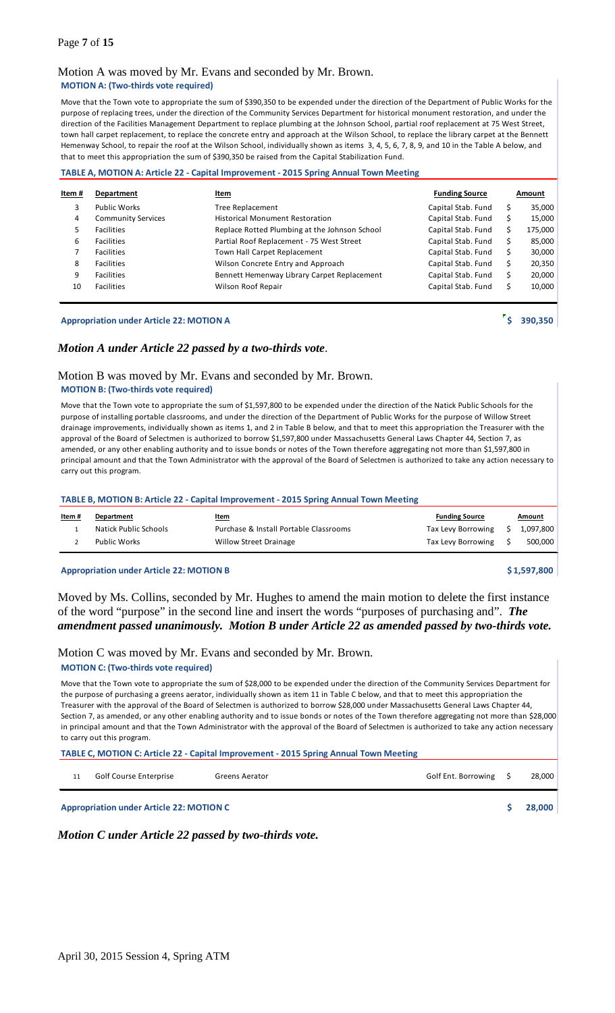### Motion A was moved by Mr. Evans and seconded by Mr. Brown. **MOTION A: (Two-thirds vote required)**

Move that the Town vote to appropriate the sum of \$390,350 to be expended under the direction of the Department of Public Works for the purpose of replacing trees, under the direction of the Community Services Department for historical monument restoration, and under the direction of the Facilities Management Department to replace plumbing at the Johnson School, partial roof replacement at 75 West Street, town hall carpet replacement, to replace the concrete entry and approach at the Wilson School, to replace the library carpet at the Bennett Hemenway School, to repair the roof at the Wilson School, individually shown as items 3, 4, 5, 6, 7, 8, 9, and 10 in the Table A below, and that to meet this appropriation the sum of \$390,350 be raised from the Capital Stabilization Fund.

#### **TABLE A, MOTION A: Article 22 - Capital Improvement - 2015 Spring Annual Town Meeting**

| Item # | Department                | Item                                          | <b>Funding Source</b> |    | Amount  |
|--------|---------------------------|-----------------------------------------------|-----------------------|----|---------|
| 3      | <b>Public Works</b>       | <b>Tree Replacement</b>                       | Capital Stab. Fund    | Ś  | 35,000  |
| 4      | <b>Community Services</b> | <b>Historical Monument Restoration</b>        | Capital Stab. Fund    |    | 15,000  |
| 5.     | <b>Facilities</b>         | Replace Rotted Plumbing at the Johnson School | Capital Stab. Fund    | Ś  | 175,000 |
| 6      | <b>Facilities</b>         | Partial Roof Replacement - 75 West Street     | Capital Stab. Fund    | Ś  | 85,000  |
|        | <b>Facilities</b>         | Town Hall Carpet Replacement                  | Capital Stab. Fund    | Ś. | 30,000  |
| 8      | <b>Facilities</b>         | Wilson Concrete Entry and Approach            | Capital Stab. Fund    | Ś  | 20,350  |
| 9      | <b>Facilities</b>         | Bennett Hemenway Library Carpet Replacement   | Capital Stab. Fund    | Ś. | 20,000  |
| 10     | <b>Facilities</b>         | Wilson Roof Repair                            | Capital Stab. Fund    |    | 10,000  |
|        |                           |                                               |                       |    |         |

### **Appropriation under Article 22: MOTION A <b>A EXECUTE A 390,350**

### *Motion A under Article 22 passed by a two-thirds vote*.

#### Motion B was moved by Mr. Evans and seconded by Mr. Brown. **MOTION B: (Two-thirds vote required)**

Move that the Town vote to appropriate the sum of \$1,597,800 to be expended under the direction of the Natick Public Schools for the purpose of installing portable classrooms, and under the direction of the Department of Public Works for the purpose of Willow Street drainage improvements, individually shown as items 1, and 2 in Table B below, and that to meet this appropriation the Treasurer with the approval of the Board of Selectmen is authorized to borrow \$1,597,800 under Massachusetts General Laws Chapter 44, Section 7, as amended, or any other enabling authority and to issue bonds or notes of the Town therefore aggregating not more than \$1,597,800 in principal amount and that the Town Administrator with the approval of the Board of Selectmen is authorized to take any action necessary to carry out this program.

#### **TABLE B, MOTION B: Article 22 - Capital Improvement - 2015 Spring Annual Town Meeting**

| Item# | Department            | <u>Item</u>                            | <b>Funding Source</b> | <u>Amount</u> |
|-------|-----------------------|----------------------------------------|-----------------------|---------------|
|       | Natick Public Schools | Purchase & Install Portable Classrooms | Tax Levy Borrowing    | 1,097,800     |
|       | Public Works          | <b>Willow Street Drainage</b>          | Tax Levy Borrowing    | 500,000       |

### **Appropriation under Article 22: MOTION B \$ 1,597,800**

### Moved by Ms. Collins, seconded by Mr. Hughes to amend the main motion to delete the first instance of the word "purpose" in the second line and insert the words "purposes of purchasing and". *The amendment passed unanimously. Motion B under Article 22 as amended passed by two-thirds vote.*

### Motion C was moved by Mr. Evans and seconded by Mr. Brown.

#### **MOTION C: (Two-thirds vote required)**

Move that the Town vote to appropriate the sum of \$28,000 to be expended under the direction of the Community Services Department for the purpose of purchasing a greens aerator, individually shown as item 11 in Table C below, and that to meet this appropriation the Treasurer with the approval of the Board of Selectmen is authorized to borrow \$28,000 under Massachusetts General Laws Chapter 44, Section 7, as amended, or any other enabling authority and to issue bonds or notes of the Town therefore aggregating not more than \$28,000 in principal amount and that the Town Administrator with the approval of the Board of Selectmen is authorized to take any action necessary to carry out this program.

**TABLE C, MOTION C: Article 22 - Capital Improvement - 2015 Spring Annual Town Meeting** 

11 Golf Course Enterprise Greens Aerator Greens Aerator Golf Ent. Borrowing \$ 28,000

**Appropriation under Article 22: MOTION C \$ 28,000**

*Motion C under Article 22 passed by two-thirds vote.*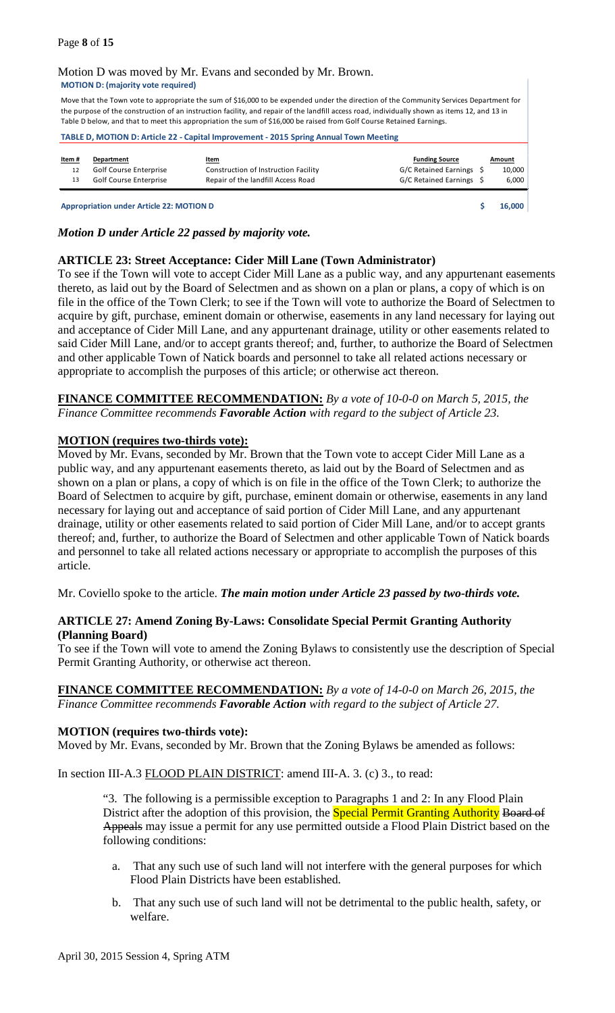### Motion D was moved by Mr. Evans and seconded by Mr. Brown. **MOTION D: (majority vote required)**

Move that the Town vote to appropriate the sum of \$16,000 to be expended under the direction of the Community Services Department for the purpose of the construction of an instruction facility, and repair of the landfill access road, individually shown as items 12, and 13 in Table D below, and that to meet this appropriation the sum of \$16,000 be raised from Golf Course Retained Earnings.

### **TABLE D, MOTION D: Article 22 - Capital Improvement - 2015 Spring Annual Town Meeting**

| Item# | Department             | <u>Item</u>                          | <b>Funding Source</b>    | Amount |
|-------|------------------------|--------------------------------------|--------------------------|--------|
| 12    | Golf Course Enterprise | Construction of Instruction Facility | G/C Retained Earnings \$ | 10,000 |
|       | Golf Course Enterprise | Repair of the landfill Access Road   | G/C Retained Earnings \$ | 6.000  |
|       |                        |                                      |                          |        |

**Appropriation under Article 22: MOTION D \$ 16,000**

*Motion D under Article 22 passed by majority vote.*

# **ARTICLE 23: Street Acceptance: Cider Mill Lane (Town Administrator)**

To see if the Town will vote to accept Cider Mill Lane as a public way, and any appurtenant easements thereto, as laid out by the Board of Selectmen and as shown on a plan or plans, a copy of which is on file in the office of the Town Clerk; to see if the Town will vote to authorize the Board of Selectmen to acquire by gift, purchase, eminent domain or otherwise, easements in any land necessary for laying out and acceptance of Cider Mill Lane, and any appurtenant drainage, utility or other easements related to said Cider Mill Lane, and/or to accept grants thereof; and, further, to authorize the Board of Selectmen and other applicable Town of Natick boards and personnel to take all related actions necessary or appropriate to accomplish the purposes of this article; or otherwise act thereon.

**FINANCE COMMITTEE RECOMMENDATION:** *By a vote of 10-0-0 on March 5, 2015, the Finance Committee recommends Favorable Action with regard to the subject of Article 23.*

### **MOTION (requires two-thirds vote):**

Moved by Mr. Evans, seconded by Mr. Brown that the Town vote to accept Cider Mill Lane as a public way, and any appurtenant easements thereto, as laid out by the Board of Selectmen and as shown on a plan or plans, a copy of which is on file in the office of the Town Clerk; to authorize the Board of Selectmen to acquire by gift, purchase, eminent domain or otherwise, easements in any land necessary for laying out and acceptance of said portion of Cider Mill Lane, and any appurtenant drainage, utility or other easements related to said portion of Cider Mill Lane, and/or to accept grants thereof; and, further, to authorize the Board of Selectmen and other applicable Town of Natick boards and personnel to take all related actions necessary or appropriate to accomplish the purposes of this article.

Mr. Coviello spoke to the article. *The main motion under Article 23 passed by two-thirds vote.*

# **ARTICLE 27: Amend Zoning By-Laws: Consolidate Special Permit Granting Authority (Planning Board)**

To see if the Town will vote to amend the Zoning Bylaws to consistently use the description of Special Permit Granting Authority, or otherwise act thereon.

### **FINANCE COMMITTEE RECOMMENDATION:** *By a vote of 14-0-0 on March 26, 2015, the Finance Committee recommends Favorable Action with regard to the subject of Article 27.*

### **MOTION (requires two-thirds vote):**

Moved by Mr. Evans, seconded by Mr. Brown that the Zoning Bylaws be amended as follows:

In section III-A.3 FLOOD PLAIN DISTRICT: amend III-A. 3. (c) 3., to read:

"3. The following is a permissible exception to Paragraphs 1 and 2: In any Flood Plain District after the adoption of this provision, the **Special Permit Granting Authority Board of** Appeals may issue a permit for any use permitted outside a Flood Plain District based on the following conditions:

- a. That any such use of such land will not interfere with the general purposes for which Flood Plain Districts have been established.
- b. That any such use of such land will not be detrimental to the public health, safety, or welfare.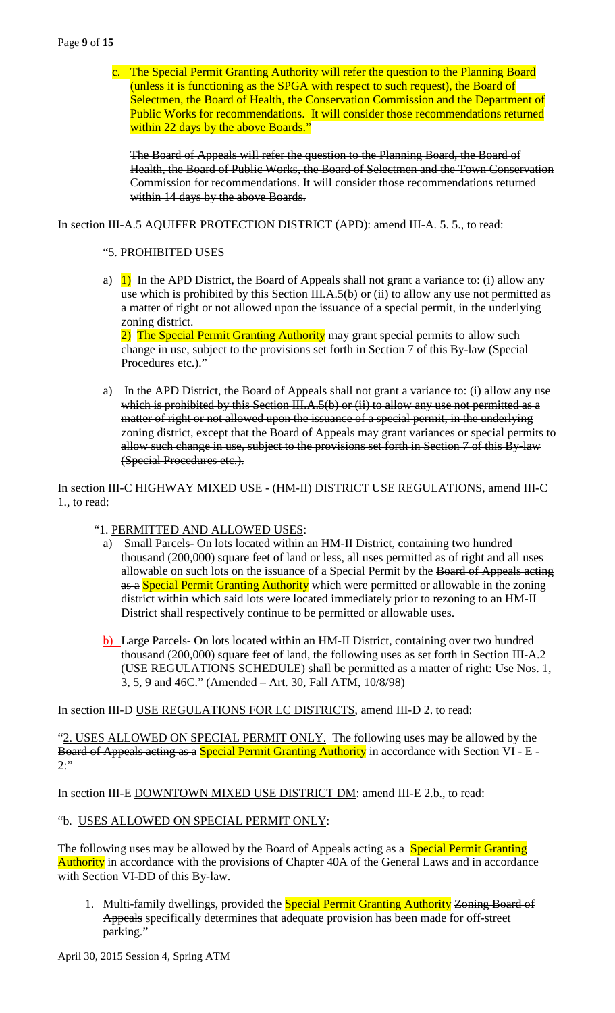### Page **9** of **15**

c. The Special Permit Granting Authority will refer the question to the Planning Board (unless it is functioning as the SPGA with respect to such request), the Board of Selectmen, the Board of Health, the Conservation Commission and the Department of Public Works for recommendations. It will consider those recommendations returned within 22 days by the above Boards."

The Board of Appeals will refer the question to the Planning Board, the Board of Health, the Board of Public Works, the Board of Selectmen and the Town Conservation Commission for recommendations. It will consider those recommendations returned within 14 days by the above Boards.

In section III-A.5 AQUIFER PROTECTION DISTRICT (APD): amend III-A. 5. 5., to read:

### "5. PROHIBITED USES

a) 1) In the APD District, the Board of Appeals shall not grant a variance to: (i) allow any use which is prohibited by this Section III.A.5(b) or (ii) to allow any use not permitted as a matter of right or not allowed upon the issuance of a special permit, in the underlying zoning district.

2) The Special Permit Granting Authority may grant special permits to allow such change in use, subject to the provisions set forth in Section 7 of this By-law (Special Procedures etc.)."

a) In the APD District, the Board of Appeals shall not grant a variance to: (i) allow any use which is prohibited by this Section III.A.5(b) or (ii) to allow any use not permitted as a matter of right or not allowed upon the issuance of a special permit, in the underlying zoning district, except that the Board of Appeals may grant variances or special permits to allow such change in use, subject to the provisions set forth in Section 7 of this By-law (Special Procedures etc.).

In section III-C HIGHWAY MIXED USE - (HM-II) DISTRICT USE REGULATIONS, amend III-C 1., to read:

### "1. PERMITTED AND ALLOWED USES:

- a) Small Parcels- On lots located within an HM-II District, containing two hundred thousand (200,000) square feet of land or less, all uses permitted as of right and all uses allowable on such lots on the issuance of a Special Permit by the Board of Appeals acting as a Special Permit Granting Authority which were permitted or allowable in the zoning district within which said lots were located immediately prior to rezoning to an HM-II District shall respectively continue to be permitted or allowable uses.
- b) Large Parcels- On lots located within an HM-II District, containing over two hundred thousand (200,000) square feet of land, the following uses as set forth in Section III-A.2 (USE REGULATIONS SCHEDULE) shall be permitted as a matter of right: Use Nos. 1, 3, 5, 9 and 46C." (Amended – Art. 30, Fall ATM, 10/8/98)

In section III-D USE REGULATIONS FOR LC DISTRICTS, amend III-D 2. to read:

"2. USES ALLOWED ON SPECIAL PERMIT ONLY. The following uses may be allowed by the Board of Appeals acting as a Special Permit Granting Authority in accordance with Section VI - E - $2:$ "

In section III-E DOWNTOWN MIXED USE DISTRICT DM: amend III-E 2.b., to read:

### "b. USES ALLOWED ON SPECIAL PERMIT ONLY:

The following uses may be allowed by the Board of Appeals acting as a Special Permit Granting Authority in accordance with the provisions of Chapter 40A of the General Laws and in accordance with Section VI-DD of this By-law.

1. Multi-family dwellings, provided the **Special Permit Granting Authority Zoning Board of** Appeals specifically determines that adequate provision has been made for off-street parking."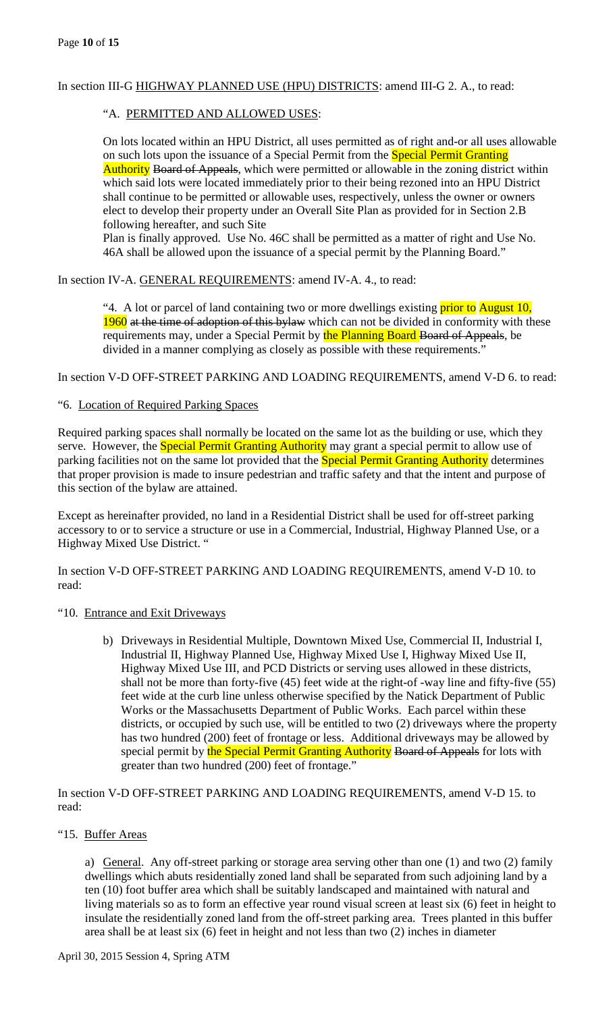# In section III-G HIGHWAY PLANNED USE (HPU) DISTRICTS: amend III-G 2. A., to read:

# "A. PERMITTED AND ALLOWED USES:

On lots located within an HPU District, all uses permitted as of right and-or all uses allowable on such lots upon the issuance of a Special Permit from the **Special Permit Granting** Authority Board of Appeals, which were permitted or allowable in the zoning district within which said lots were located immediately prior to their being rezoned into an HPU District shall continue to be permitted or allowable uses, respectively, unless the owner or owners elect to develop their property under an Overall Site Plan as provided for in Section 2.B following hereafter, and such Site

Plan is finally approved. Use No. 46C shall be permitted as a matter of right and Use No. 46A shall be allowed upon the issuance of a special permit by the Planning Board."

In section IV-A. GENERAL REQUIREMENTS: amend IV-A. 4., to read:

"4. A lot or parcel of land containing two or more dwellings existing *prior to August 10*, 1960 at the time of adoption of this bylaw which can not be divided in conformity with these requirements may, under a Special Permit by the Planning Board Board of Appeals, be divided in a manner complying as closely as possible with these requirements."

In section V-D OFF-STREET PARKING AND LOADING REQUIREMENTS, amend V-D 6. to read:

# "6. Location of Required Parking Spaces

Required parking spaces shall normally be located on the same lot as the building or use, which they serve. However, the **Special Permit Granting Authority** may grant a special permit to allow use of parking facilities not on the same lot provided that the **Special Permit Granting Authority** determines that proper provision is made to insure pedestrian and traffic safety and that the intent and purpose of this section of the bylaw are attained.

Except as hereinafter provided, no land in a Residential District shall be used for off-street parking accessory to or to service a structure or use in a Commercial, Industrial, Highway Planned Use, or a Highway Mixed Use District. "

In section V-D OFF-STREET PARKING AND LOADING REQUIREMENTS, amend V-D 10. to read:

### "10. Entrance and Exit Driveways

b) Driveways in Residential Multiple, Downtown Mixed Use, Commercial II, Industrial I, Industrial II, Highway Planned Use, Highway Mixed Use I, Highway Mixed Use II, Highway Mixed Use III, and PCD Districts or serving uses allowed in these districts, shall not be more than forty-five (45) feet wide at the right-of -way line and fifty-five (55) feet wide at the curb line unless otherwise specified by the Natick Department of Public Works or the Massachusetts Department of Public Works. Each parcel within these districts, or occupied by such use, will be entitled to two (2) driveways where the property has two hundred (200) feet of frontage or less. Additional driveways may be allowed by special permit by the Special Permit Granting Authority Board of Appeals for lots with greater than two hundred (200) feet of frontage."

In section V-D OFF-STREET PARKING AND LOADING REQUIREMENTS, amend V-D 15. to read:

### "15. Buffer Areas

a) General. Any off-street parking or storage area serving other than one (1) and two (2) family dwellings which abuts residentially zoned land shall be separated from such adjoining land by a ten (10) foot buffer area which shall be suitably landscaped and maintained with natural and living materials so as to form an effective year round visual screen at least six (6) feet in height to insulate the residentially zoned land from the off-street parking area. Trees planted in this buffer area shall be at least six (6) feet in height and not less than two (2) inches in diameter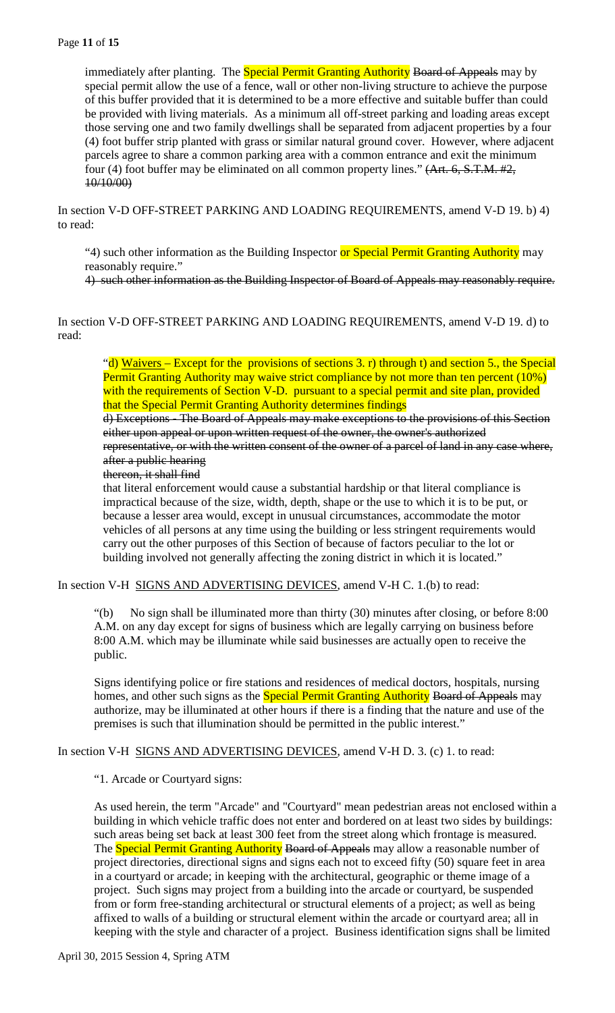immediately after planting. The **Special Permit Granting Authority Board of Appeals** may by special permit allow the use of a fence, wall or other non-living structure to achieve the purpose of this buffer provided that it is determined to be a more effective and suitable buffer than could be provided with living materials. As a minimum all off-street parking and loading areas except those serving one and two family dwellings shall be separated from adjacent properties by a four (4) foot buffer strip planted with grass or similar natural ground cover. However, where adjacent parcels agree to share a common parking area with a common entrance and exit the minimum four (4) foot buffer may be eliminated on all common property lines." (Art. 6, S.T.M. #2, 10/10/00)

In section V-D OFF-STREET PARKING AND LOADING REQUIREMENTS, amend V-D 19. b) 4) to read:

"4) such other information as the Building Inspector or Special Permit Granting Authority may reasonably require."

4) such other information as the Building Inspector of Board of Appeals may reasonably require.

In section V-D OFF-STREET PARKING AND LOADING REQUIREMENTS, amend V-D 19. d) to read:

"d) Waivers – Except for the provisions of sections 3. r) through t) and section 5., the Special Permit Granting Authority may waive strict compliance by not more than ten percent (10%) with the requirements of Section V-D. pursuant to a special permit and site plan, provided that the Special Permit Granting Authority determines findings

d) Exceptions - The Board of Appeals may make exceptions to the provisions of this Section either upon appeal or upon written request of the owner, the owner's authorized representative, or with the written consent of the owner of a parcel of land in any case where, after a public hearing

### thereon, it shall find

that literal enforcement would cause a substantial hardship or that literal compliance is impractical because of the size, width, depth, shape or the use to which it is to be put, or because a lesser area would, except in unusual circumstances, accommodate the motor vehicles of all persons at any time using the building or less stringent requirements would carry out the other purposes of this Section of because of factors peculiar to the lot or building involved not generally affecting the zoning district in which it is located."

In section V-H SIGNS AND ADVERTISING DEVICES, amend V-H C. 1.(b) to read:

"(b) No sign shall be illuminated more than thirty (30) minutes after closing, or before 8:00 A.M. on any day except for signs of business which are legally carrying on business before 8:00 A.M. which may be illuminate while said businesses are actually open to receive the public.

Signs identifying police or fire stations and residences of medical doctors, hospitals, nursing homes, and other such signs as the **Special Permit Granting Authority Board of Appeals** may authorize, may be illuminated at other hours if there is a finding that the nature and use of the premises is such that illumination should be permitted in the public interest."

In section V-H SIGNS AND ADVERTISING DEVICES, amend V-H D. 3. (c) 1. to read:

"1. Arcade or Courtyard signs:

As used herein, the term "Arcade" and "Courtyard" mean pedestrian areas not enclosed within a building in which vehicle traffic does not enter and bordered on at least two sides by buildings: such areas being set back at least 300 feet from the street along which frontage is measured. The Special Permit Granting Authority Board of Appeals may allow a reasonable number of project directories, directional signs and signs each not to exceed fifty (50) square feet in area in a courtyard or arcade; in keeping with the architectural, geographic or theme image of a project. Such signs may project from a building into the arcade or courtyard, be suspended from or form free-standing architectural or structural elements of a project; as well as being affixed to walls of a building or structural element within the arcade or courtyard area; all in keeping with the style and character of a project. Business identification signs shall be limited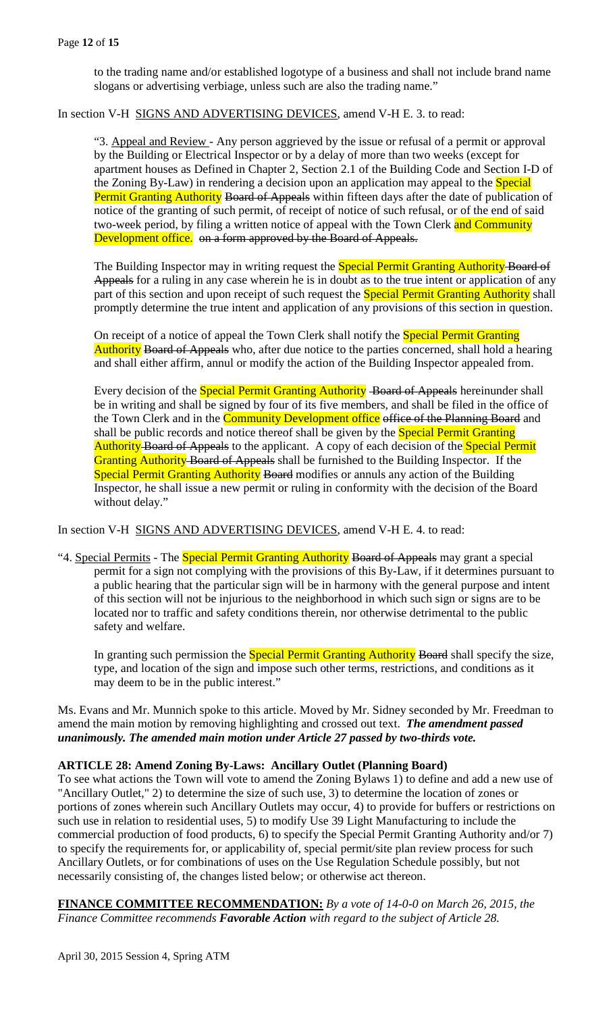to the trading name and/or established logotype of a business and shall not include brand name slogans or advertising verbiage, unless such are also the trading name."

In section V-H SIGNS AND ADVERTISING DEVICES, amend V-H E. 3. to read:

"3. Appeal and Review - Any person aggrieved by the issue or refusal of a permit or approval by the Building or Electrical Inspector or by a delay of more than two weeks (except for apartment houses as Defined in Chapter 2, Section 2.1 of the Building Code and Section I-D of the Zoning By-Law) in rendering a decision upon an application may appeal to the **Special** Permit Granting Authority Board of Appeals within fifteen days after the date of publication of notice of the granting of such permit, of receipt of notice of such refusal, or of the end of said two-week period, by filing a written notice of appeal with the Town Clerk and Community Development office. on a form approved by the Board of Appeals.

The Building Inspector may in writing request the **Special Permit Granting Authority-Board of** Appeals for a ruling in any case wherein he is in doubt as to the true intent or application of any part of this section and upon receipt of such request the **Special Permit Granting Authority** shall promptly determine the true intent and application of any provisions of this section in question.

On receipt of a notice of appeal the Town Clerk shall notify the **Special Permit Granting** Authority Board of Appeals who, after due notice to the parties concerned, shall hold a hearing and shall either affirm, annul or modify the action of the Building Inspector appealed from.

Every decision of the **Special Permit Granting Authority** Board of Appeals hereinunder shall be in writing and shall be signed by four of its five members, and shall be filed in the office of the Town Clerk and in the **Community Development office** of the Planning Board and shall be public records and notice thereof shall be given by the **Special Permit Granting** Authority Board of Appeals to the applicant. A copy of each decision of the Special Permit Granting Authority Board of Appeals shall be furnished to the Building Inspector. If the Special Permit Granting Authority Board modifies or annuls any action of the Building Inspector, he shall issue a new permit or ruling in conformity with the decision of the Board without delay."

In section V-H SIGNS AND ADVERTISING DEVICES, amend V-H E. 4. to read:

"4. Special Permits - The Special Permit Granting Authority Board of Appeals may grant a special permit for a sign not complying with the provisions of this By-Law, if it determines pursuant to a public hearing that the particular sign will be in harmony with the general purpose and intent of this section will not be injurious to the neighborhood in which such sign or signs are to be located nor to traffic and safety conditions therein, nor otherwise detrimental to the public safety and welfare.

In granting such permission the **Special Permit Granting Authority Board** shall specify the size, type, and location of the sign and impose such other terms, restrictions, and conditions as it may deem to be in the public interest."

Ms. Evans and Mr. Munnich spoke to this article. Moved by Mr. Sidney seconded by Mr. Freedman to amend the main motion by removing highlighting and crossed out text. *The amendment passed unanimously. The amended main motion under Article 27 passed by two-thirds vote.*

### **ARTICLE 28: Amend Zoning By-Laws: Ancillary Outlet (Planning Board)**

To see what actions the Town will vote to amend the Zoning Bylaws 1) to define and add a new use of "Ancillary Outlet," 2) to determine the size of such use, 3) to determine the location of zones or portions of zones wherein such Ancillary Outlets may occur, 4) to provide for buffers or restrictions on such use in relation to residential uses, 5) to modify Use 39 Light Manufacturing to include the commercial production of food products, 6) to specify the Special Permit Granting Authority and/or 7) to specify the requirements for, or applicability of, special permit/site plan review process for such Ancillary Outlets, or for combinations of uses on the Use Regulation Schedule possibly, but not necessarily consisting of, the changes listed below; or otherwise act thereon.

**FINANCE COMMITTEE RECOMMENDATION:** *By a vote of 14-0-0 on March 26, 2015, the Finance Committee recommends Favorable Action with regard to the subject of Article 28.*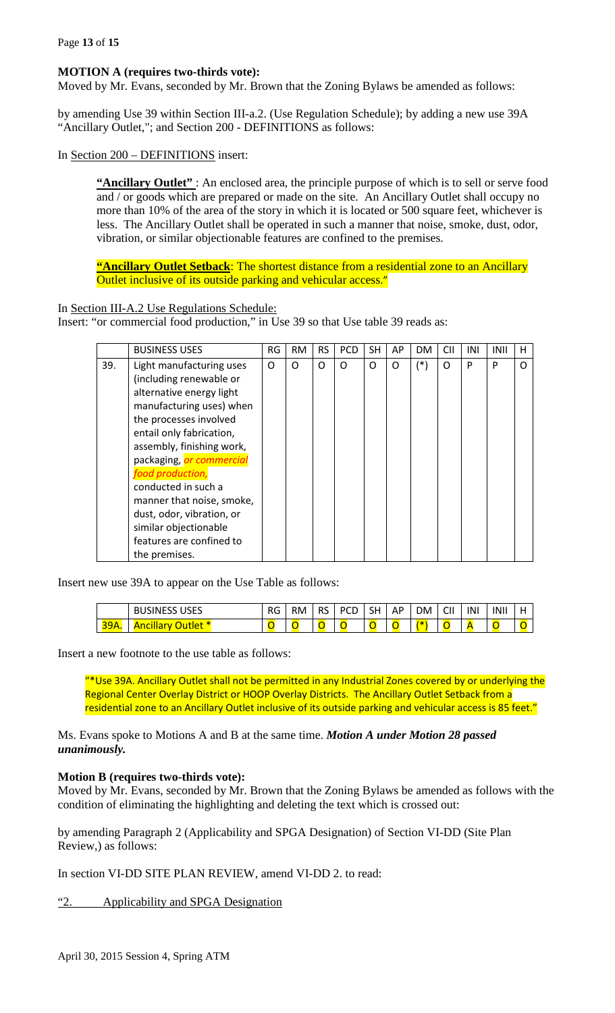### **MOTION A (requires two-thirds vote):**

Moved by Mr. Evans, seconded by Mr. Brown that the Zoning Bylaws be amended as follows:

by amending Use 39 within Section III-a.2. (Use Regulation Schedule); by adding a new use 39A "Ancillary Outlet,"; and Section 200 - DEFINITIONS as follows:

In Section 200 – DEFINITIONS insert:

"Ancillary Outlet": An enclosed area, the principle purpose of which is to sell or serve food and / or goods which are prepared or made on the site. An Ancillary Outlet shall occupy no more than 10% of the area of the story in which it is located or 500 square feet, whichever is less. The Ancillary Outlet shall be operated in such a manner that noise, smoke, dust, odor, vibration, or similar objectionable features are confined to the premises.

**"Ancillary Outlet Setback**: The shortest distance from a residential zone to an Ancillary Outlet inclusive of its outside parking and vehicular access."

In Section III-A.2 Use Regulations Schedule:

Insert: "or commercial food production," in Use 39 so that Use table 39 reads as:

|     | <b>BUSINESS USES</b>                                                                                                                                                                                                                                                                                                                                                                 | RG | <b>RM</b> | <b>RS</b> | <b>PCD</b> | SH | AP | <b>DM</b> | <b>CII</b> | INI | INII | н        |
|-----|--------------------------------------------------------------------------------------------------------------------------------------------------------------------------------------------------------------------------------------------------------------------------------------------------------------------------------------------------------------------------------------|----|-----------|-----------|------------|----|----|-----------|------------|-----|------|----------|
| 39. | Light manufacturing uses<br>(including renewable or<br>alternative energy light<br>manufacturing uses) when<br>the processes involved<br>entail only fabrication,<br>assembly, finishing work,<br>packaging, or commercial<br>food production,<br>conducted in such a<br>manner that noise, smoke,<br>dust, odor, vibration, or<br>similar objectionable<br>features are confined to | O  | $\Omega$  | O         | O          | O  | Ω  | $(*)$     | $\Omega$   | P   | P    | $\Omega$ |
|     | the premises.                                                                                                                                                                                                                                                                                                                                                                        |    |           |           |            |    |    |           |            |     |      |          |

Insert new use 39A to appear on the Use Table as follows:

|                         | 11000<br>D<br><b>BUSINESS</b><br>บวะว | RG | <b>RM</b> | $\sim$<br>RS. | וש<br>ᇅ | SH | AP | DM | $\sim$<br>Uh | INI | INII |  |
|-------------------------|---------------------------------------|----|-----------|---------------|---------|----|----|----|--------------|-----|------|--|
| <b>20A</b><br>. .<br>-- | ιτιeτ<br>ncillar<br>s                 |    |           | <u>.</u>      |         |    |    |    |              |     |      |  |

Insert a new footnote to the use table as follows:

"\*Use 39A. Ancillary Outlet shall not be permitted in any Industrial Zones covered by or underlying the Regional Center Overlay District or HOOP Overlay Districts. The Ancillary Outlet Setback from a residential zone to an Ancillary Outlet inclusive of its outside parking and vehicular access is 85 feet."

Ms. Evans spoke to Motions A and B at the same time. *Motion A under Motion 28 passed unanimously.* 

### **Motion B (requires two-thirds vote):**

Moved by Mr. Evans, seconded by Mr. Brown that the Zoning Bylaws be amended as follows with the condition of eliminating the highlighting and deleting the text which is crossed out:

by amending Paragraph 2 (Applicability and SPGA Designation) of Section VI-DD (Site Plan Review,) as follows:

In section VI-DD SITE PLAN REVIEW, amend VI-DD 2. to read:

"2. Applicability and SPGA Designation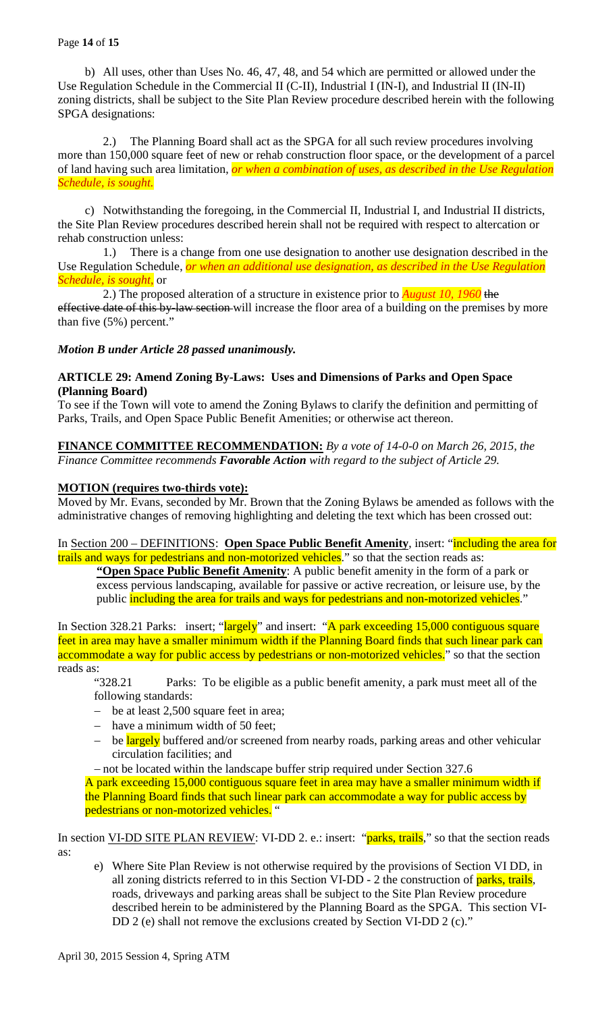b) All uses, other than Uses No. 46, 47, 48, and 54 which are permitted or allowed under the Use Regulation Schedule in the Commercial II (C-II), Industrial I (IN-I), and Industrial II (IN-II) zoning districts, shall be subject to the Site Plan Review procedure described herein with the following SPGA designations:

2.) The Planning Board shall act as the SPGA for all such review procedures involving more than 150,000 square feet of new or rehab construction floor space, or the development of a parcel of land having such area limitation, *or when a combination of uses, as described in the Use Regulation Schedule, is sought.*

c) Notwithstanding the foregoing, in the Commercial II, Industrial I, and Industrial II districts, the Site Plan Review procedures described herein shall not be required with respect to altercation or rehab construction unless:

1.) There is a change from one use designation to another use designation described in the Use Regulation Schedule, *or when an additional use designation, as described in the Use Regulation Schedule, is sought,* or

2.) The proposed alteration of a structure in existence prior to *August 10, 1960* the effective date of this by-law section-will increase the floor area of a building on the premises by more than five (5%) percent."

# *Motion B under Article 28 passed unanimously.*

# **ARTICLE 29: Amend Zoning By-Laws: Uses and Dimensions of Parks and Open Space (Planning Board)**

To see if the Town will vote to amend the Zoning Bylaws to clarify the definition and permitting of Parks, Trails, and Open Space Public Benefit Amenities; or otherwise act thereon.

### **FINANCE COMMITTEE RECOMMENDATION:** *By a vote of 14-0-0 on March 26, 2015, the Finance Committee recommends Favorable Action with regard to the subject of Article 29.*

# **MOTION (requires two-thirds vote):**

Moved by Mr. Evans, seconded by Mr. Brown that the Zoning Bylaws be amended as follows with the administrative changes of removing highlighting and deleting the text which has been crossed out:

In Section 200 – DEFINITIONS: **Open Space Public Benefit Amenity**, insert: "including the area for trails and ways for pedestrians and non-motorized vehicles." so that the section reads as:

**"Open Space Public Benefit Amenity**: A public benefit amenity in the form of a park or excess pervious landscaping, available for passive or active recreation, or leisure use, by the public including the area for trails and ways for pedestrians and non-motorized vehicles."

In Section 328.21 Parks: insert; "largely" and insert: "A park exceeding 15,000 contiguous square feet in area may have a smaller minimum width if the Planning Board finds that such linear park can accommodate a way for public access by pedestrians or non-motorized vehicles." so that the section reads as:<br> $x^2$  328.21

Parks: To be eligible as a public benefit amenity, a park must meet all of the following standards:

- − be at least 2,500 square feet in area;
- − have a minimum width of 50 feet;
- be largely buffered and/or screened from nearby roads, parking areas and other vehicular circulation facilities; and

− not be located within the landscape buffer strip required under Section 327.6 A park exceeding 15,000 contiguous square feet in area may have a smaller minimum width if the Planning Board finds that such linear park can accommodate a way for public access by pedestrians or non-motorized vehicles. "

In section VI-DD SITE PLAN REVIEW: VI-DD 2. e.: insert: "parks, trails," so that the section reads as:

e) Where Site Plan Review is not otherwise required by the provisions of Section VI DD, in all zoning districts referred to in this Section VI-DD - 2 the construction of parks, trails, roads, driveways and parking areas shall be subject to the Site Plan Review procedure described herein to be administered by the Planning Board as the SPGA. This section VI-DD 2 (e) shall not remove the exclusions created by Section VI-DD 2 (c)."